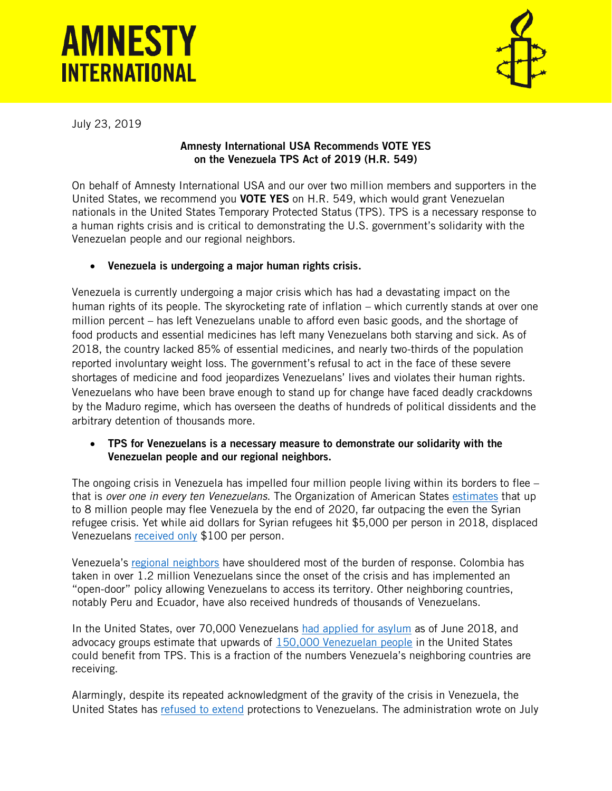# **AMNESTY INTERNATIONAL**



July 23, 2019

## Amnesty International USA Recommends VOTE YES on the Venezuela TPS Act of 2019 (H.R. 549)

On behalf of Amnesty International USA and our over two million members and supporters in the United States, we recommend you VOTE YES on H.R. 549, which would grant Venezuelan nationals in the United States Temporary Protected Status (TPS). TPS is a necessary response to a human rights crisis and is critical to demonstrating the U.S. government's solidarity with the Venezuelan people and our regional neighbors.

## • Venezuela is undergoing a major human rights crisis.

Venezuela is currently undergoing a major crisis which has had a devastating impact on the human rights of its people. The skyrocketing rate of inflation – which currently stands at over one million percent – has left Venezuelans unable to afford even basic goods, and the shortage of food products and essential medicines has left many Venezuelans both starving and sick. As of 2018, the country lacked 85% of essential medicines, and nearly two-thirds of the population reported involuntary weight loss. The government's refusal to act in the face of these severe shortages of medicine and food jeopardizes Venezuelans' lives and violates their human rights. Venezuelans who have been brave enough to stand up for change have faced deadly crackdowns by the Maduro regime, which has overseen the deaths of hundreds of political dissidents and the arbitrary detention of thousands more.

#### • TPS for Venezuelans is a necessary measure to demonstrate our solidarity with the Venezuelan people and our regional neighbors.

The ongoing crisis in Venezuela has impelled four million people living within its borders to flee that is *over one in every ten Venezuelans*. The Organization of American States [estimates](https://www.aljazeera.com/news/2019/06/oas-venezuela-migration-largest-world-2020-190628174012682.html) that up to 8 million people may flee Venezuela by the end of 2020, far outpacing the even the Syrian refugee crisis. Yet while aid dollars for Syrian refugees hit \$5,000 per person in 2018, displaced Venezuelans [received only](https://www.aljazeera.com/news/2019/06/oas-venezuela-migration-largest-world-2020-190628174012682.html) \$100 per person.

Venezuela's [regional neighbors](https://www.amnesty.org/en/latest/campaigns/2019/05/bienvenida-venezuela-campana-regional-personas-que-huyen-crisis-derechos-humanos/) have shouldered most of the burden of response. Colombia has taken in over 1.2 million Venezuelans since the onset of the crisis and has implemented an "open-door" policy allowing Venezuelans to access its territory. Other neighboring countries, notably Peru and Ecuador, have also received hundreds of thousands of Venezuelans.

In the United States, over 70,000 Venezuelans [had applied for asylum](https://cliniclegal.org/resources/lives-balance-why-tps-needed-venezuela-now) as of June 2018, and advocacy groups estimate that upwards of [150,000 Venezuelan people](https://www.hrw.org/news/2019/03/08/us-offer-venezuelans-us-temporary-protection) in the United States could benefit from TPS. This is a fraction of the numbers Venezuela's neighboring countries are receiving.

Alarmingly, despite its repeated acknowledgment of the gravity of the crisis in Venezuela, the United States has [refused to extend](https://www.durbin.senate.gov/imo/media/doc/Sen%20Durbin%20signed%20response.pdf) protections to Venezuelans. The administration wrote on July